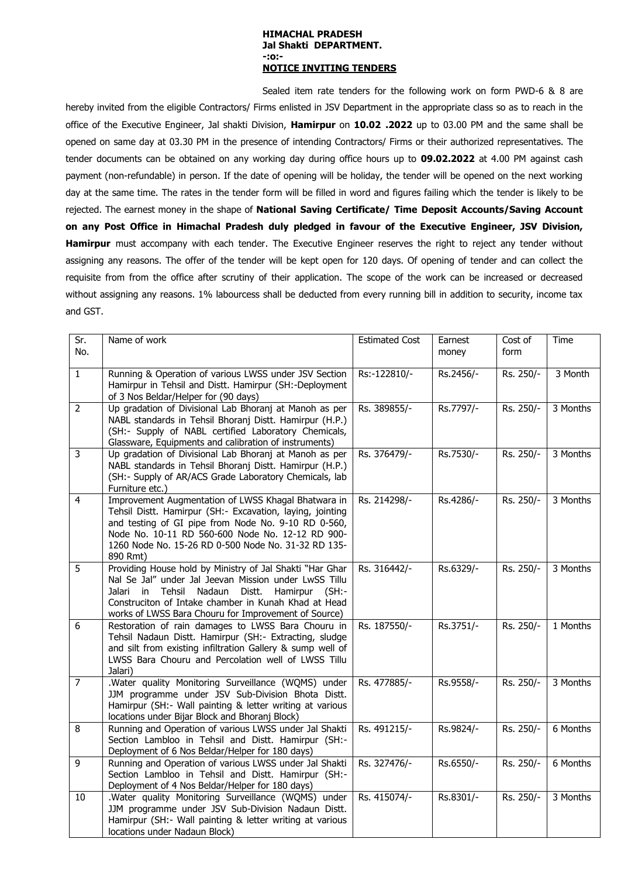## **HIMACHAL PRADESH Jal Shakti DEPARTMENT. -:o:- NOTICE INVITING TENDERS**

Sealed item rate tenders for the following work on form PWD-6 & 8 are hereby invited from the eligible Contractors/ Firms enlisted in JSV Department in the appropriate class so as to reach in the office of the Executive Engineer, Jal shakti Division, **Hamirpur** on **10.02 .2022** up to 03.00 PM and the same shall be opened on same day at 03.30 PM in the presence of intending Contractors/ Firms or their authorized representatives. The tender documents can be obtained on any working day during office hours up to **09.02.2022** at 4.00 PM against cash payment (non-refundable) in person. If the date of opening will be holiday, the tender will be opened on the next working day at the same time. The rates in the tender form will be filled in word and figures failing which the tender is likely to be rejected. The earnest money in the shape of **National Saving Certificate/ Time Deposit Accounts/Saving Account on any Post Office in Himachal Pradesh duly pledged in favour of the Executive Engineer, JSV Division, Hamirpur** must accompany with each tender. The Executive Engineer reserves the right to reject any tender without assigning any reasons. The offer of the tender will be kept open for 120 days. Of opening of tender and can collect the requisite from from the office after scrutiny of their application. The scope of the work can be increased or decreased without assigning any reasons. 1% labourcess shall be deducted from every running bill in addition to security, income tax and GST.

| Sr.<br>No.      | Name of work                                                                                                     | <b>Estimated Cost</b> | Earnest   | Cost of<br>form | <b>Time</b> |
|-----------------|------------------------------------------------------------------------------------------------------------------|-----------------------|-----------|-----------------|-------------|
|                 |                                                                                                                  |                       | money     |                 |             |
| $\mathbf{1}$    | Running & Operation of various LWSS under JSV Section                                                            | Rs:-122810/-          | Rs.2456/- | Rs. 250/-       | 3 Month     |
|                 | Hamirpur in Tehsil and Distt. Hamirpur (SH:-Deployment<br>of 3 Nos Beldar/Helper for (90 days)                   |                       |           |                 |             |
| $\overline{2}$  | Up gradation of Divisional Lab Bhoranj at Manoh as per                                                           | Rs. 389855/-          | Rs.7797/- | Rs. 250/-       | 3 Months    |
|                 | NABL standards in Tehsil Bhoranj Distt. Hamirpur (H.P.)                                                          |                       |           |                 |             |
|                 | (SH:- Supply of NABL certified Laboratory Chemicals,                                                             |                       |           |                 |             |
| $\overline{3}$  | Glassware, Equipments and calibration of instruments)<br>Up gradation of Divisional Lab Bhoranj at Manoh as per  | Rs. 376479/-          | Rs.7530/- | Rs. 250/-       | 3 Months    |
|                 | NABL standards in Tehsil Bhoranj Distt. Hamirpur (H.P.)                                                          |                       |           |                 |             |
|                 | (SH:- Supply of AR/ACS Grade Laboratory Chemicals, lab                                                           |                       |           |                 |             |
|                 | Furniture etc.)                                                                                                  |                       |           |                 |             |
| $\overline{4}$  | Improvement Augmentation of LWSS Khagal Bhatwara in<br>Tehsil Distt. Hamirpur (SH:- Excavation, laying, jointing | Rs. 214298/-          | Rs.4286/- | Rs. 250/-       | 3 Months    |
|                 | and testing of GI pipe from Node No. 9-10 RD 0-560,                                                              |                       |           |                 |             |
|                 | Node No. 10-11 RD 560-600 Node No. 12-12 RD 900-                                                                 |                       |           |                 |             |
|                 | 1260 Node No. 15-26 RD 0-500 Node No. 31-32 RD 135-                                                              |                       |           |                 |             |
| $\overline{5}$  | 890 Rmt)<br>Providing House hold by Ministry of Jal Shakti "Har Ghar                                             | Rs. 316442/-          | Rs.6329/- | Rs. 250/-       | 3 Months    |
|                 | Nal Se Jal" under Jal Jeevan Mission under LwSS Tillu                                                            |                       |           |                 |             |
|                 | Nadaun<br>Jalari<br>in<br>Tehsil<br>Distt.<br>Hamirpur (SH:-                                                     |                       |           |                 |             |
|                 | Construciton of Intake chamber in Kunah Khad at Head                                                             |                       |           |                 |             |
| 6               | works of LWSS Bara Chouru for Improvement of Source)<br>Restoration of rain damages to LWSS Bara Chouru in       | Rs. 187550/-          | Rs.3751/- | Rs. 250/-       | 1 Months    |
|                 | Tehsil Nadaun Distt. Hamirpur (SH:- Extracting, sludge                                                           |                       |           |                 |             |
|                 | and silt from existing infiltration Gallery & sump well of                                                       |                       |           |                 |             |
|                 | LWSS Bara Chouru and Percolation well of LWSS Tillu                                                              |                       |           |                 |             |
| $\overline{7}$  | Jalari)<br>.Water quality Monitoring Surveillance (WQMS) under                                                   | Rs. 477885/-          | Rs.9558/- | Rs. 250/-       | 3 Months    |
|                 | JJM programme under JSV Sub-Division Bhota Distt.                                                                |                       |           |                 |             |
|                 | Hamirpur (SH:- Wall painting & letter writing at various                                                         |                       |           |                 |             |
|                 | locations under Bijar Block and Bhoranj Block)                                                                   |                       |           |                 |             |
| 8               | Running and Operation of various LWSS under Jal Shakti<br>Section Lambloo in Tehsil and Distt. Hamirpur (SH:-    | Rs. 491215/-          | Rs.9824/- | Rs. 250/-       | 6 Months    |
|                 | Deployment of 6 Nos Beldar/Helper for 180 days)                                                                  |                       |           |                 |             |
| $\overline{9}$  | Running and Operation of various LWSS under Jal Shakti                                                           | Rs. 327476/-          | Rs.6550/- | Rs. 250/-       | 6 Months    |
|                 | Section Lambloo in Tehsil and Distt. Hamirpur (SH:-                                                              |                       |           |                 |             |
| $\overline{10}$ | Deployment of 4 Nos Beldar/Helper for 180 days)<br>.Water quality Monitoring Surveillance (WQMS) under           | Rs. 415074/-          | Rs.8301/- | Rs. 250/-       | 3 Months    |
|                 | JJM programme under JSV Sub-Division Nadaun Distt.                                                               |                       |           |                 |             |
|                 | Hamirpur (SH:- Wall painting & letter writing at various                                                         |                       |           |                 |             |
|                 | locations under Nadaun Block)                                                                                    |                       |           |                 |             |